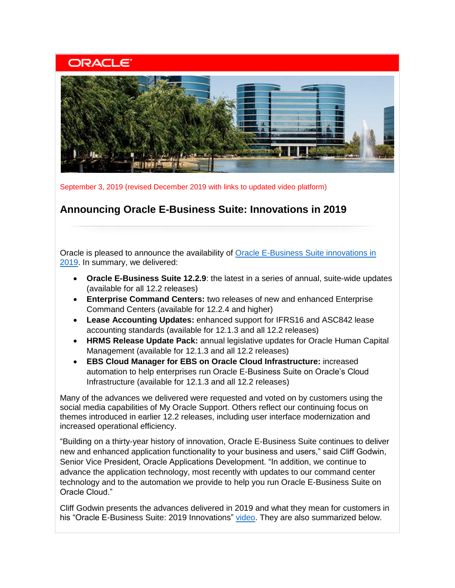# **ORACLE**



September 3, 2019 (revised December 2019 with links to updated video platform)

## **Announcing Oracle E-Business Suite: Innovations in 2019**

Oracle is pleased to announce the availability of **Oracle E-Business Suite innovations in** [2019.](https://learn.oracle.com/ebs-innovations) In summary, we delivered:

- **Oracle E-Business Suite 12.2.9**: the latest in a series of annual, suite-wide updates (available for all 12.2 releases)
- **Enterprise Command Centers:** two releases of new and enhanced Enterprise Command Centers (available for 12.2.4 and higher)
- **Lease Accounting Updates:** enhanced support for IFRS16 and ASC842 lease accounting standards (available for 12.1.3 and all 12.2 releases)
- **HRMS Release Update Pack:** annual legislative updates for Oracle Human Capital Management (available for 12.1.3 and all 12.2 releases)
- **EBS Cloud Manager for EBS on Oracle Cloud Infrastructure:** increased automation to help enterprises run Oracle E-Business Suite on Oracle's Cloud Infrastructure (available for 12.1.3 and all 12.2 releases)

Many of the advances we delivered were requested and voted on by customers using the social media capabilities of My Oracle Support. Others reflect our continuing focus on themes introduced in earlier 12.2 releases, including user interface modernization and increased operational efficiency.

"Building on a thirty-year history of innovation, Oracle E-Business Suite continues to deliver new and enhanced application functionality to your business and users," said Cliff Godwin, Senior Vice President, Oracle Applications Development. "In addition, we continue to advance the application technology, most recently with updates to our command center technology and to the automation we provide to help you run Oracle E-Business Suite on Oracle Cloud."

Cliff Godwin presents the advances delivered in 2019 and what they mean for customers in his "Oracle E-Business Suite: 2019 Innovations" [video.](https://learn.oracle.com/ebs-innovations) They are also summarized below.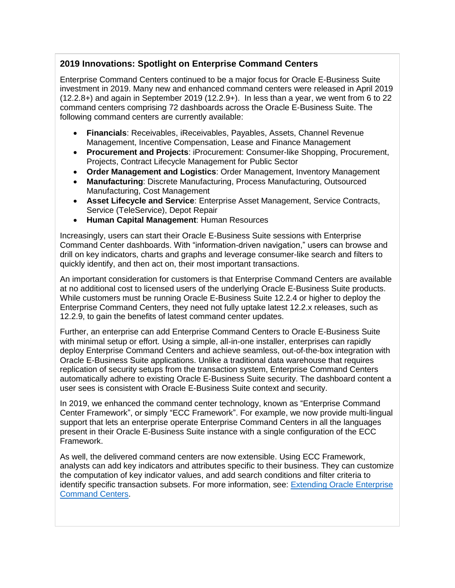### **2019 Innovations: Spotlight on Enterprise Command Centers**

Enterprise Command Centers continued to be a major focus for Oracle E-Business Suite investment in 2019. Many new and enhanced command centers were released in April 2019 (12.2.8+) and again in September 2019 (12.2.9+). In less than a year, we went from 6 to 22 command centers comprising 72 dashboards across the Oracle E-Business Suite. The following command centers are currently available:

- **Financials**: Receivables, iReceivables, Payables, Assets, Channel Revenue Management, Incentive Compensation, Lease and Finance Management
- **Procurement and Projects**: iProcurement: Consumer-like Shopping, Procurement, Projects, Contract Lifecycle Management for Public Sector
- **Order Management and Logistics**: Order Management, Inventory Management
- **Manufacturing**: Discrete Manufacturing, Process Manufacturing, Outsourced Manufacturing, Cost Management
- **Asset Lifecycle and Service**: Enterprise Asset Management, Service Contracts, Service (TeleService), Depot Repair
- **Human Capital Management**: Human Resources

Increasingly, users can start their Oracle E-Business Suite sessions with Enterprise Command Center dashboards. With "information-driven navigation," users can browse and drill on key indicators, charts and graphs and leverage consumer-like search and filters to quickly identify, and then act on, their most important transactions.

An important consideration for customers is that Enterprise Command Centers are available at no additional cost to licensed users of the underlying Oracle E-Business Suite products. While customers must be running Oracle E-Business Suite 12.2.4 or higher to deploy the Enterprise Command Centers, they need not fully uptake latest 12.2.x releases, such as 12.2.9, to gain the benefits of latest command center updates.

Further, an enterprise can add Enterprise Command Centers to Oracle E-Business Suite with minimal setup or effort. Using a simple, all-in-one installer, enterprises can rapidly deploy Enterprise Command Centers and achieve seamless, out-of-the-box integration with Oracle E-Business Suite applications. Unlike a traditional data warehouse that requires replication of security setups from the transaction system, Enterprise Command Centers automatically adhere to existing Oracle E-Business Suite security. The dashboard content a user sees is consistent with Oracle E-Business Suite context and security.

In 2019, we enhanced the command center technology, known as "Enterprise Command Center Framework", or simply "ECC Framework". For example, we now provide multi-lingual support that lets an enterprise operate Enterprise Command Centers in all the languages present in their Oracle E-Business Suite instance with a single configuration of the ECC Framework.

As well, the delivered command centers are now extensible. Using ECC Framework, analysts can add key indicators and attributes specific to their business. They can customize the computation of key indicator values, and add search conditions and filter criteria to identify specific transaction subsets. For more information, see: [Extending Oracle Enterprise](https://docs.oracle.com/cd/E26401_01/doc.122/f21671/toc.htm)  [Command Centers](https://docs.oracle.com/cd/E26401_01/doc.122/f21671/toc.htm).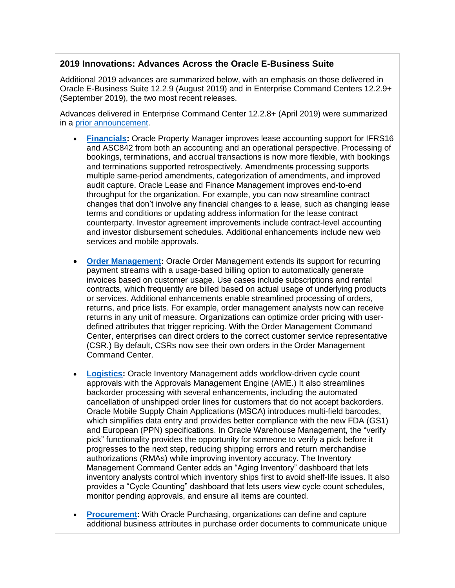#### **2019 Innovations: Advances Across the Oracle E-Business Suite**

Additional 2019 advances are summarized below, with an emphasis on those delivered in Oracle E-Business Suite 12.2.9 (August 2019) and in Enterprise Command Centers 12.2.9+ (September 2019), the two most recent releases.

Advances delivered in Enterprise Command Center 12.2.8+ (April 2019) were summarized in a [prior announcement.](https://www.oracle.com/a/ocom/docs/applications/ebusiness/ebs-enterprise-command-centers-ga.pdf)

- **[Financials:](https://www.oracle.com/applications/ebusiness/products.html#financials)** Oracle Property Manager improves lease accounting support for IFRS16 and ASC842 from both an accounting and an operational perspective. Processing of bookings, terminations, and accrual transactions is now more flexible, with bookings and terminations supported retrospectively. Amendments processing supports multiple same-period amendments, categorization of amendments, and improved audit capture. Oracle Lease and Finance Management improves end-to-end throughput for the organization. For example, you can now streamline contract changes that don't involve any financial changes to a lease, such as changing lease terms and conditions or updating address information for the lease contract counterparty. Investor agreement improvements include contract-level accounting and investor disbursement schedules. Additional enhancements include new web services and mobile approvals.
- **[Order Management:](https://www.oracle.com/applications/ebusiness/products.html#order)** Oracle Order Management extends its support for recurring payment streams with a usage-based billing option to automatically generate invoices based on customer usage. Use cases include subscriptions and rental contracts, which frequently are billed based on actual usage of underlying products or services. Additional enhancements enable streamlined processing of orders, returns, and price lists. For example, order management analysts now can receive returns in any unit of measure. Organizations can optimize order pricing with userdefined attributes that trigger repricing. With the Order Management Command Center, enterprises can direct orders to the correct customer service representative (CSR.) By default, CSRs now see their own orders in the Order Management Command Center.
- **[Logistics:](https://www.oracle.com/applications/ebusiness/products.html#logistics)** Oracle Inventory Management adds workflow-driven cycle count approvals with the Approvals Management Engine (AME.) It also streamlines backorder processing with several enhancements, including the automated cancellation of unshipped order lines for customers that do not accept backorders. Oracle Mobile Supply Chain Applications (MSCA) introduces multi-field barcodes, which simplifies data entry and provides better compliance with the new FDA (GS1) and European (PPN) specifications. In Oracle Warehouse Management, the "verify pick" functionality provides the opportunity for someone to verify a pick before it progresses to the next step, reducing shipping errors and return merchandise authorizations (RMAs) while improving inventory accuracy. The Inventory Management Command Center adds an "Aging Inventory" dashboard that lets inventory analysts control which inventory ships first to avoid shelf-life issues. It also provides a "Cycle Counting" dashboard that lets users view cycle count schedules, monitor pending approvals, and ensure all items are counted.
- **[Procurement:](https://www.oracle.com/applications/ebusiness/products.html#procurement)** With Oracle Purchasing, organizations can define and capture additional business attributes in purchase order documents to communicate unique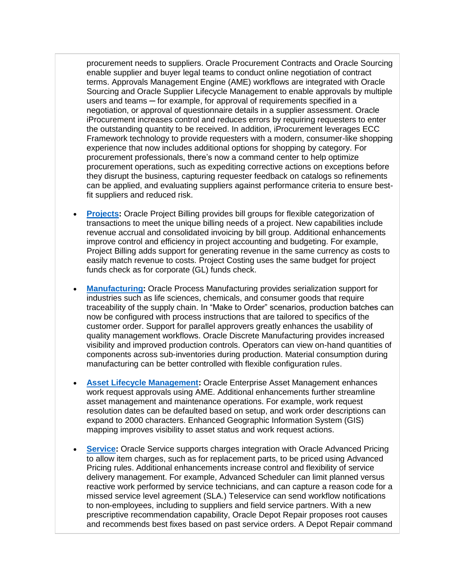procurement needs to suppliers. Oracle Procurement Contracts and Oracle Sourcing enable supplier and buyer legal teams to conduct online negotiation of contract terms. Approvals Management Engine (AME) workflows are integrated with Oracle Sourcing and Oracle Supplier Lifecycle Management to enable approvals by multiple users and teams – for example, for approval of requirements specified in a negotiation, or approval of questionnaire details in a supplier assessment. Oracle iProcurement increases control and reduces errors by requiring requesters to enter the outstanding quantity to be received. In addition, iProcurement leverages ECC Framework technology to provide requesters with a modern, consumer-like shopping experience that now includes additional options for shopping by category. For procurement professionals, there's now a command center to help optimize procurement operations, such as expediting corrective actions on exceptions before they disrupt the business, capturing requester feedback on catalogs so refinements can be applied, and evaluating suppliers against performance criteria to ensure bestfit suppliers and reduced risk.

- **[Projects:](https://www.oracle.com/applications/ebusiness/products.html#projects)** Oracle Project Billing provides bill groups for flexible categorization of transactions to meet the unique billing needs of a project. New capabilities include revenue accrual and consolidated invoicing by bill group. Additional enhancements improve control and efficiency in project accounting and budgeting. For example, Project Billing adds support for generating revenue in the same currency as costs to easily match revenue to costs. Project Costing uses the same budget for project funds check as for corporate (GL) funds check.
- **[Manufacturing:](https://www.oracle.com/applications/ebusiness/products.html#manufacturing)** Oracle Process Manufacturing provides serialization support for industries such as life sciences, chemicals, and consumer goods that require traceability of the supply chain. In "Make to Order" scenarios, production batches can now be configured with process instructions that are tailored to specifics of the customer order. Support for parallel approvers greatly enhances the usability of quality management workflows. Oracle Discrete Manufacturing provides increased visibility and improved production controls. Operators can view on-hand quantities of components across sub-inventories during production. Material consumption during manufacturing can be better controlled with flexible configuration rules.
- **[Asset Lifecycle Management:](https://www.oracle.com/applications/ebusiness/products.html#assetlifecycle)** Oracle Enterprise Asset Management enhances work request approvals using AME. Additional enhancements further streamline asset management and maintenance operations. For example, work request resolution dates can be defaulted based on setup, and work order descriptions can expand to 2000 characters. Enhanced Geographic Information System (GIS) mapping improves visibility to asset status and work request actions.
- **[Service:](https://www.oracle.com/applications/ebusiness/products.html#service)** Oracle Service supports charges integration with Oracle Advanced Pricing to allow item charges, such as for replacement parts, to be priced using Advanced Pricing rules. Additional enhancements increase control and flexibility of service delivery management. For example, Advanced Scheduler can limit planned versus reactive work performed by service technicians, and can capture a reason code for a missed service level agreement (SLA.) Teleservice can send workflow notifications to non-employees, including to suppliers and field service partners. With a new prescriptive recommendation capability, Oracle Depot Repair proposes root causes and recommends best fixes based on past service orders. A Depot Repair command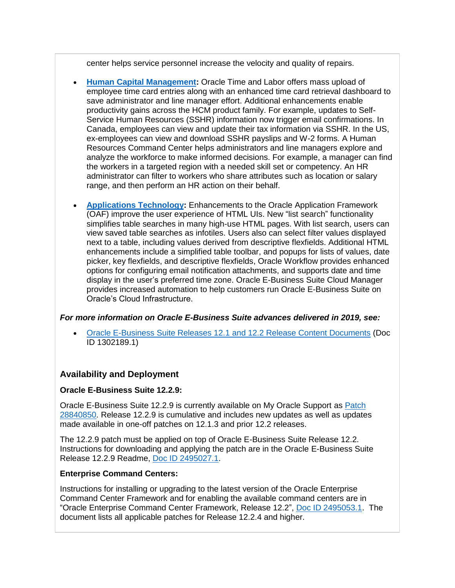center helps service personnel increase the velocity and quality of repairs.

- **[Human Capital Management:](https://www.oracle.com/applications/ebusiness/products.html#hcm)** Oracle Time and Labor offers mass upload of employee time card entries along with an enhanced time card retrieval dashboard to save administrator and line manager effort. Additional enhancements enable productivity gains across the HCM product family. For example, updates to Self-Service Human Resources (SSHR) information now trigger email confirmations. In Canada, employees can view and update their tax information via SSHR. In the US, ex-employees can view and download SSHR payslips and W-2 forms. A Human Resources Command Center helps administrators and line managers explore and analyze the workforce to make informed decisions. For example, a manager can find the workers in a targeted region with a needed skill set or competency. An HR administrator can filter to workers who share attributes such as location or salary range, and then perform an HR action on their behalf.
- **[Applications Technology:](http://www.oracle.com/us/products/applications/ebusiness/overview/index.html)** Enhancements to the Oracle Application Framework (OAF) improve the user experience of HTML UIs. New "list search" functionality simplifies table searches in many high-use HTML pages. With list search, users can view saved table searches as infotiles. Users also can select filter values displayed next to a table, including values derived from descriptive flexfields. Additional HTML enhancements include a simplified table toolbar, and popups for lists of values, date picker, key flexfields, and descriptive flexfields, Oracle Workflow provides enhanced options for configuring email notification attachments, and supports date and time display in the user's preferred time zone. Oracle E-Business Suite Cloud Manager provides increased automation to help customers run Oracle E-Business Suite on Oracle's Cloud Infrastructure.

#### *For more information on Oracle E-Business Suite advances delivered in 2019, see:*

• [Oracle E-Business Suite Releases 12.1 and 12.2 Release Content Documents](https://support.oracle.com/rs?type=doc&id=1302189.1) (Doc ID 1302189.1)

#### **Availability and Deployment**

#### **Oracle E-Business Suite 12.2.9:**

Oracle E-Business Suite 12.2.9 is currently available on My Oracle Support as [Patch](https://support.oracle.com/epmos/faces/ui/patch/PatchDetail.jspx?patchId=28840850)  [28840850.](https://support.oracle.com/epmos/faces/ui/patch/PatchDetail.jspx?patchId=28840850) Release 12.2.9 is cumulative and includes new updates as well as updates made available in one-off patches on 12.1.3 and prior 12.2 releases.

The 12.2.9 patch must be applied on top of Oracle E-Business Suite Release 12.2. Instructions for downloading and applying the patch are in the Oracle E-Business Suite Release 12.2.9 Readme, [Doc ID 2495027.1.](https://support.oracle.com/rs?type=doc&id=2495027.1)

#### **Enterprise Command Centers:**

Instructions for installing or upgrading to the latest version of the Oracle Enterprise Command Center Framework and for enabling the available command centers are in "Oracle Enterprise Command Center Framework, Release 12.2", [Doc ID 2495053.1.](https://support.oracle.com/rs?type=doc&id=2495053.1) The document lists all applicable patches for Release 12.2.4 and higher.